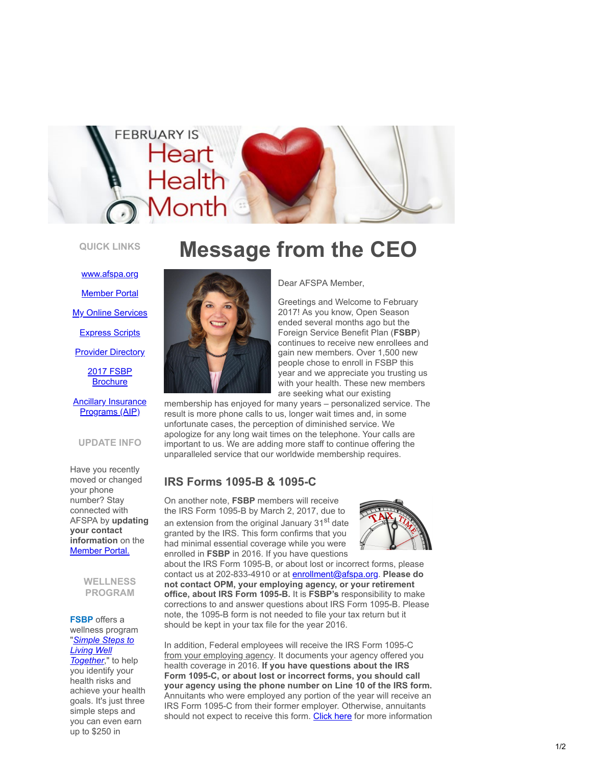

## **QUICK LINKS**

[www.afspa.org](http://www.afspa.org/?utm_source=Email_marketing_&utm_campaign=Thursday_February_2_2017_CEO_Message&cmp=1&utm_medium=HTMLEmail) **[Member Portal](https://secure.myafspa.org/?utm_source=Email_marketing_&utm_campaign=Thursday_February_2_2017_CEO_Message&cmp=1&utm_medium=HTMLEmail) [My Online Services](https://member.cvty.com/memberPortalWeb/appmanager/memberPortal/member?utm_source=Email_marketing_&utm_campaign=Thursday_February_2_2017_CEO_Message&cmp=1&utm_medium=HTMLEmail)** [Express Scripts](https://www.express-scripts.com/consumer/site/home?partner=FSBP&accessLink=FSBPDCC&utm_source=Email_marketing_&utm_campaign=Thursday_February_2_2017_CEO_Message&cmp=1&utm_medium=HTMLEmail) **[Provider Directory](http://fsbp.coventryhealthcare.com/member-support/locate-a-provider/index.htm?utm_source=Email_marketing_&utm_campaign=Thursday_February_2_2017_CEO_Message&cmp=1&utm_medium=HTMLEmail)** 

[2017 FSBP](https://www.afspa.org/filestoreAFSPA/2017RI72-001FSBPBrochure.pdf?utm_source=Email_marketing_&utm_campaign=Thursday_February_2_2017_CEO_Message&cmp=1&utm_medium=HTMLEmail)

**Brochure** 

#### **[Ancillary Insurance](https://www.afspa.org/aip_home.cfm?utm_source=Email_marketing_&utm_campaign=Thursday_February_2_2017_CEO_Message&cmp=1&utm_medium=HTMLEmail)** Programs (AIP)

#### **UPDATE INFO**

Have you recently moved or changed your phone number? Stay connected with AFSPA by **updating your contact information** on the [Member Portal.](https://secure.myafspa.org/?utm_source=Email_marketing_&utm_campaign=Thursday_February_2_2017_CEO_Message&cmp=1&utm_medium=HTMLEmail)

> **WELLNESS PROGRAM**

**FSBP** offers a wellness program "*[Simple Steps to](https://www.afspa.org/fsbp_detail.cfm?page=Health-Programs&utm_source=Email_marketing_&utm_campaign=Thursday_February_2_2017_CEO_Message&cmp=1&utm_medium=HTMLEmail) Living Well Together*," to help you identify your health risks and achieve your health goals. It's just three simple steps and you can even earn up to \$250 in

# **Message from the CEO**



Dear AFSPA Member ,

Greetings and Welcome to February 2017! As you know, Open Season ended several months ago but the Foreign Service Benefit Plan (**FSBP** ) continues to receive new enrollees and gain new members. Over 1,500 new people chose to enroll in FSBP this year and we appreciate you trusting us with your health. These new members are seeking what our existing

membership has enjoyed for many years – personalized service. The result is more phone calls to us, longer wait times and, in some unfortunate cases, the perception of diminished service. We apologize for any long wait times on the telephone. Your calls are important to us. We are adding more staff to continue offering the unparalleled service that our worldwide membership requires.

## **IRS Forms 1095-B & 1095-C**

On another note, **FSBP** members will receive the IRS Form 1095-B by March 2, 2017, due to an extension from the original January 31<sup>st</sup> date granted by the IRS. This form confirms that you had minimal essential coverage while you were enrolled in **FSBP** in 2016. If you have questions



about the IRS Form 1095-B, or about lost or incorrect forms, please contact us at 202-833-4910 or at [enrollment@afspa.org](mailto:enrollment@afspa.org?subject=I%20have%20a%20question%20about%20the%20IRS%20Form%201095-B). **Please do not contact OPM, your employing agency, or your retirement office, about IRS Form 1095-B.** It is **FSBP's** responsibility to make corrections to and answer questions about IRS Form 1095-B. Please note, the 1095-B form is not needed to file your tax return but it should be kept in your tax file for the year 2016.

In addition, Federal employees will receive the IRS Form 1095-C from your employing agency. It documents your agency offered you health coverage in 2016. **If you have questions about the IRS Form 1095-C, or about lost or incorrect forms, you should call your agency using the phone number on Line 10 of the IRS form.** Annuitants who were employed any portion of the year will receive an IRS Form 1095-C from their former employer. Otherwise, annuitants should not expect to receive this form. [Click here](https://www.afspa.org/news.cfm?utm_source=Email_marketing_&utm_campaign=Thursday_February_2_2017_CEO_Message&cmp=1&utm_medium=HTMLEmail#January272017IRSForms1095-Band1095-C) for more information